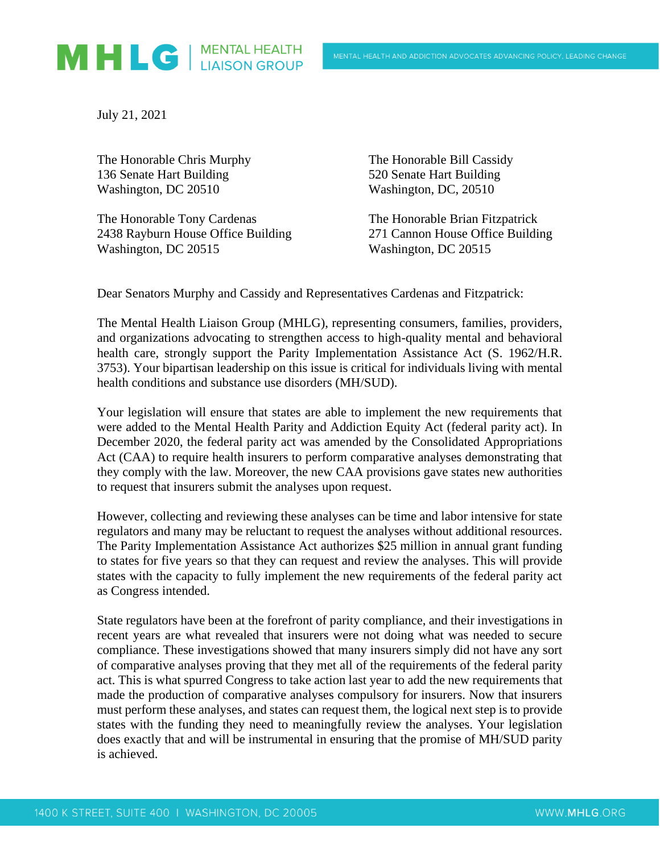

July 21, 2021

The Honorable Chris Murphy The Honorable Bill Cassidy 136 Senate Hart Building 520 Senate Hart Building Washington, DC 20510 Washington, DC, 20510

The Honorable Tony Cardenas The Honorable Brian Fitzpatrick 2438 Rayburn House Office Building 271 Cannon House Office Building Washington, DC 20515 Washington, DC 20515

Dear Senators Murphy and Cassidy and Representatives Cardenas and Fitzpatrick:

The Mental Health Liaison Group (MHLG), representing consumers, families, providers, and organizations advocating to strengthen access to high-quality mental and behavioral health care, strongly support the Parity Implementation Assistance Act (S. 1962/H.R. 3753). Your bipartisan leadership on this issue is critical for individuals living with mental health conditions and substance use disorders (MH/SUD).

Your legislation will ensure that states are able to implement the new requirements that were added to the Mental Health Parity and Addiction Equity Act (federal parity act). In December 2020, the federal parity act was amended by the Consolidated Appropriations Act (CAA) to require health insurers to perform comparative analyses demonstrating that they comply with the law. Moreover, the new CAA provisions gave states new authorities to request that insurers submit the analyses upon request.

However, collecting and reviewing these analyses can be time and labor intensive for state regulators and many may be reluctant to request the analyses without additional resources. The Parity Implementation Assistance Act authorizes \$25 million in annual grant funding to states for five years so that they can request and review the analyses. This will provide states with the capacity to fully implement the new requirements of the federal parity act as Congress intended.

State regulators have been at the forefront of parity compliance, and their investigations in recent years are what revealed that insurers were not doing what was needed to secure compliance. These investigations showed that many insurers simply did not have any sort of comparative analyses proving that they met all of the requirements of the federal parity act. This is what spurred Congress to take action last year to add the new requirements that made the production of comparative analyses compulsory for insurers. Now that insurers must perform these analyses, and states can request them, the logical next step is to provide states with the funding they need to meaningfully review the analyses. Your legislation does exactly that and will be instrumental in ensuring that the promise of MH/SUD parity is achieved.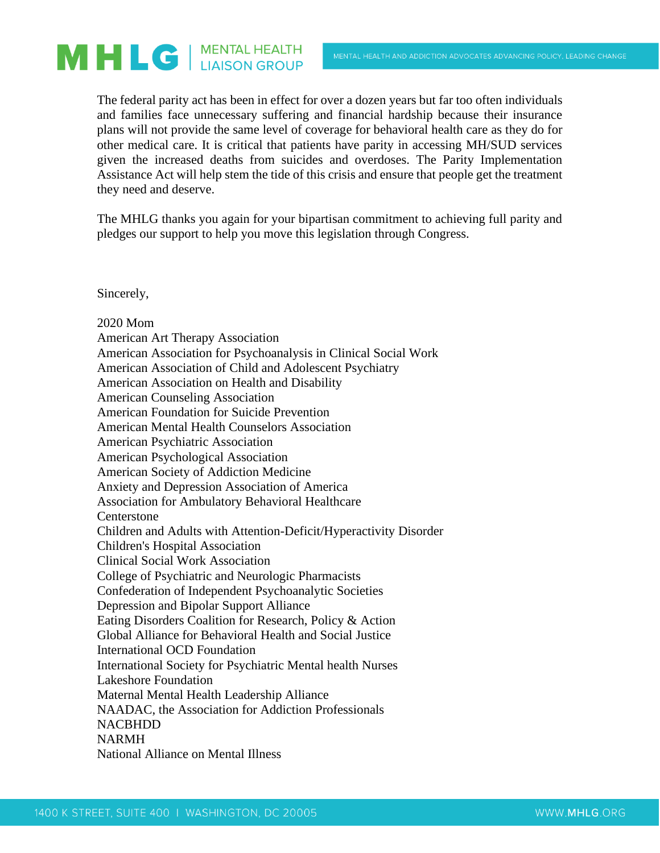## MHLG | MENTAL HEALTH

The federal parity act has been in effect for over a dozen years but far too often individuals and families face unnecessary suffering and financial hardship because their insurance plans will not provide the same level of coverage for behavioral health care as they do for other medical care. It is critical that patients have parity in accessing MH/SUD services given the increased deaths from suicides and overdoses. The Parity Implementation Assistance Act will help stem the tide of this crisis and ensure that people get the treatment they need and deserve.

The MHLG thanks you again for your bipartisan commitment to achieving full parity and pledges our support to help you move this legislation through Congress.

Sincerely,

2020 Mom American Art Therapy Association American Association for Psychoanalysis in Clinical Social Work American Association of Child and Adolescent Psychiatry American Association on Health and Disability American Counseling Association American Foundation for Suicide Prevention American Mental Health Counselors Association American Psychiatric Association American Psychological Association American Society of Addiction Medicine Anxiety and Depression Association of America Association for Ambulatory Behavioral Healthcare Centerstone Children and Adults with Attention-Deficit/Hyperactivity Disorder Children's Hospital Association Clinical Social Work Association College of Psychiatric and Neurologic Pharmacists Confederation of Independent Psychoanalytic Societies Depression and Bipolar Support Alliance Eating Disorders Coalition for Research, Policy & Action Global Alliance for Behavioral Health and Social Justice International OCD Foundation International Society for Psychiatric Mental health Nurses Lakeshore Foundation Maternal Mental Health Leadership Alliance NAADAC, the Association for Addiction Professionals NACBHDD NARMH National Alliance on Mental Illness